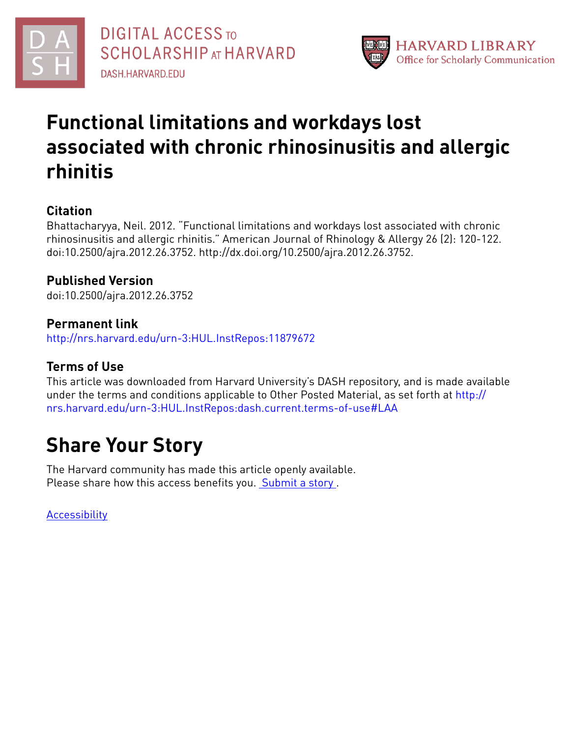



# **Functional limitations and workdays lost associated with chronic rhinosinusitis and allergic rhinitis**

## **Citation**

Bhattacharyya, Neil. 2012. "Functional limitations and workdays lost associated with chronic rhinosinusitis and allergic rhinitis." American Journal of Rhinology & Allergy 26 (2): 120-122. doi:10.2500/ajra.2012.26.3752. http://dx.doi.org/10.2500/ajra.2012.26.3752.

## **Published Version**

doi:10.2500/ajra.2012.26.3752

### **Permanent link**

<http://nrs.harvard.edu/urn-3:HUL.InstRepos:11879672>

### **Terms of Use**

This article was downloaded from Harvard University's DASH repository, and is made available under the terms and conditions applicable to Other Posted Material, as set forth at [http://](http://nrs.harvard.edu/urn-3:HUL.InstRepos:dash.current.terms-of-use#LAA) [nrs.harvard.edu/urn-3:HUL.InstRepos:dash.current.terms-of-use#LAA](http://nrs.harvard.edu/urn-3:HUL.InstRepos:dash.current.terms-of-use#LAA)

# **Share Your Story**

The Harvard community has made this article openly available. Please share how this access benefits you. [Submit](http://osc.hul.harvard.edu/dash/open-access-feedback?handle=&title=Functional%20limitations%20and%20workdays%20lost%20associated%20with%20chronic%20rhinosinusitis%20and%20allergic%20rhinitis&community=1/4454685&collection=1/4454686&owningCollection1/4454686&harvardAuthors=eb351d2a2bf5c4a9cb850737bd378c60&department) a story.

[Accessibility](https://dash.harvard.edu/pages/accessibility)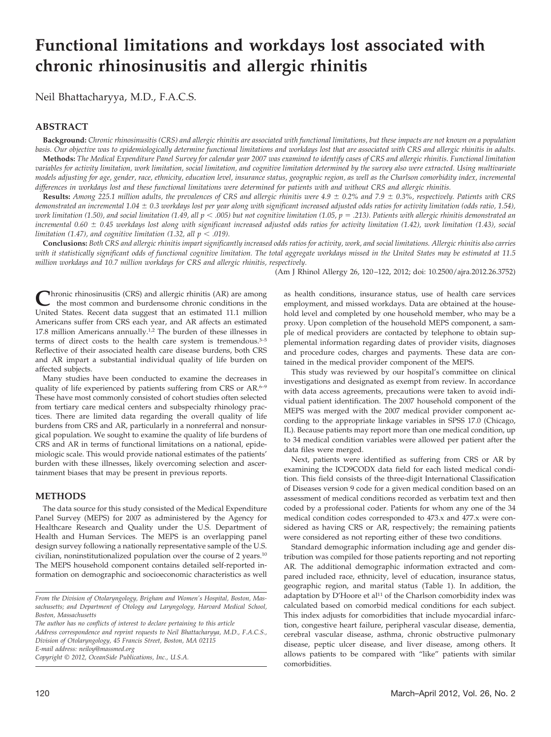## **Functional limitations and workdays lost associated with chronic rhinosinusitis and allergic rhinitis**

Neil Bhattacharyya, M.D., F.A.C.S.

#### **ABSTRACT**

**Background:** *Chronic rhinosinusitis (CRS) and allergic rhinitis are associated with functional limitations, but these impacts are not known on a population basis. Our objective was to epidemiologically determine functional limitations and workdays lost that are associated with CRS and allergic rhinitis in adults.* **Methods:** *The Medical Expenditure Panel Survey for calendar year 2007 was examined to identify cases of CRS and allergic rhinitis. Functional limitation* variables for activity limitation, work limitation, social limitation, and cognitive limitation determined by the survey also were extracted. Using multivariate *models adjusting for age, gender, race, ethnicity, education level, insurance status, geographic region, as well as the Charlson comorbidity index, incremental differences in workdays lost and these functional limitations were determined for patients with and without CRS and allergic rhinitis.*

**Results:** *Among 225.1 million adults, the prevalences of CRS and allergic rhinitis were 4.9 0.2% and 7.9 0.3%, respectively. Patients with CRS demonstrated an incremental 1.04 0.3 workdays lost per year along with significant increased adjusted odds ratios for activity limitation (odds ratio, 1.54), work limitation (1.50), and social limitation (1.49, all p* - *.005) but not cognitive limitation (1.05, p .213). Patients with allergic rhinitis demonstrated an incremental 0.60 0.45 workdays lost along with significant increased adjusted odds ratios for activity limitation (1.42), work limitation (1.43), social*  $l$ imitation (1.47), and cognitive limitation (1.32, all  $p < .019$ ).

**Conclusions:** *Both CRS and allergic rhinitis impart significantly increased odds ratios for activity, work, and social limitations. Allergic rhinitis also carries with it statistically significant odds of functional cognitive limitation. The total aggregate workdays missed in the United States may be estimated at 11.5 million workdays and 10.7 million workdays for CRS and allergic rhinitis, respectively.*

(Am J Rhinol Allergy 26, 120 –122, 2012; doi: 10.2500/ajra.2012.26.3752)

**C**hronic rhinosinusitis (CRS) and allergic rhinitis (AR) are among<br>the most common and burdensome chronic conditions in the United States. Recent data suggest that an estimated 11.1 million Americans suffer from CRS each year, and AR affects an estimated 17.8 million Americans annually.<sup>1,2</sup> The burden of these illnesses in terms of direct costs to the health care system is tremendous.3–5 Reflective of their associated health care disease burdens, both CRS and AR impart a substantial individual quality of life burden on affected subjects.

Many studies have been conducted to examine the decreases in quality of life experienced by patients suffering from CRS or AR.<sup>6–9</sup> These have most commonly consisted of cohort studies often selected from tertiary care medical centers and subspecialty rhinology practices. There are limited data regarding the overall quality of life burdens from CRS and AR, particularly in a nonreferral and nonsurgical population. We sought to examine the quality of life burdens of CRS and AR in terms of functional limitations on a national, epidemiologic scale. This would provide national estimates of the patients' burden with these illnesses, likely overcoming selection and ascertainment biases that may be present in previous reports.

#### **METHODS**

The data source for this study consisted of the Medical Expenditure Panel Survey (MEPS) for 2007 as administered by the Agency for Healthcare Research and Quality under the U.S. Department of Health and Human Services. The MEPS is an overlapping panel design survey following a nationally representative sample of the U.S. civilian, noninstitutionalized population over the course of 2 years.10 The MEPS household component contains detailed self-reported information on demographic and socioeconomic characteristics as well

*The author has no conflicts of interest to declare pertaining to this article*

*Address correspondence and reprint requests to Neil Bhattacharyya, M.D., F.A.C.S., Division of Otolaryngology, 45 Francis Street, Boston, MA 02115 E-mail address: neiloy@massmed.org*

*Copyright* © *2012, OceanSide Publications, Inc., U.S.A.*

as health conditions, insurance status, use of health care services employment, and missed workdays. Data are obtained at the household level and completed by one household member, who may be a proxy. Upon completion of the household MEPS component, a sample of medical providers are contacted by telephone to obtain supplemental information regarding dates of provider visits, diagnoses and procedure codes, charges and payments. These data are contained in the medical provider component of the MEPS.

This study was reviewed by our hospital's committee on clinical investigations and designated as exempt from review. In accordance with data access agreements, precautions were taken to avoid individual patient identification. The 2007 household component of the MEPS was merged with the 2007 medical provider component according to the appropriate linkage variables in SPSS 17.0 (Chicago, IL). Because patients may report more than one medical condition, up to 34 medical condition variables were allowed per patient after the data files were merged.

Next, patients were identified as suffering from CRS or AR by examining the ICD9CODX data field for each listed medical condition. This field consists of the three-digit International Classification of Diseases version 9 code for a given medical condition based on an assessment of medical conditions recorded as verbatim text and then coded by a professional coder. Patients for whom any one of the 34 medical condition codes corresponded to 473.x and 477.x were considered as having CRS or AR, respectively; the remaining patients were considered as not reporting either of these two conditions.

Standard demographic information including age and gender distribution was compiled for those patients reporting and not reporting AR. The additional demographic information extracted and compared included race, ethnicity, level of education, insurance status, geographic region, and marital status (Table 1). In addition, the adaptation by D'Hoore et al<sup>11</sup> of the Charlson comorbidity index was calculated based on comorbid medical conditions for each subject. This index adjusts for comorbidities that include myocardial infarction, congestive heart failure, peripheral vascular disease, dementia, cerebral vascular disease, asthma, chronic obstructive pulmonary disease, peptic ulcer disease, and liver disease, among others. It allows patients to be compared with "like" patients with similar comorbidities.

*From the Division of Otolaryngology, Brigham and Women's Hospital, Boston, Massachusetts; and Department of Otology and Laryngology, Harvard Medical School, Boston, Massachusetts*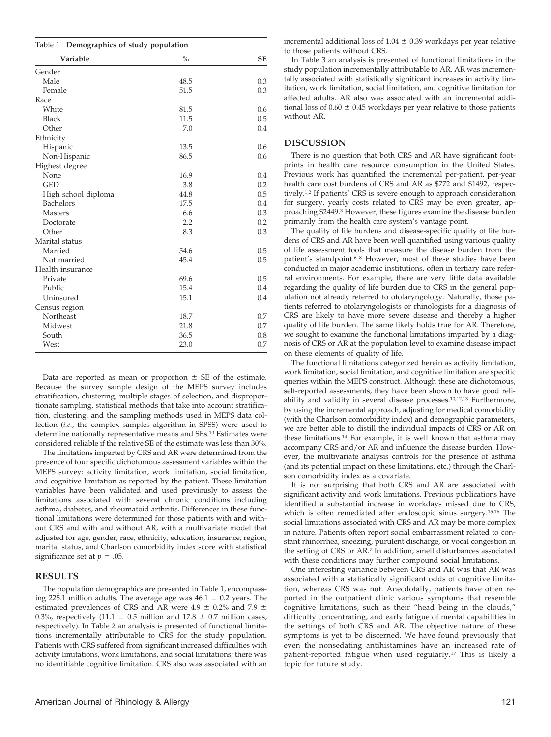| Table 1 Demographics of study population |               |           |  |  |  |
|------------------------------------------|---------------|-----------|--|--|--|
| Variable                                 | $\frac{0}{0}$ | <b>SE</b> |  |  |  |
| Gender                                   |               |           |  |  |  |
| Male                                     | 48.5          | 0.3       |  |  |  |
| Female                                   | 51.5          | 0.3       |  |  |  |
| Race                                     |               |           |  |  |  |
| White                                    | 81.5          | 0.6       |  |  |  |
| <b>Black</b>                             | 11.5          | 0.5       |  |  |  |
| Other                                    | 7.0           | 0.4       |  |  |  |
| Ethnicity                                |               |           |  |  |  |
| Hispanic                                 | 13.5          | 0.6       |  |  |  |
| Non-Hispanic                             | 86.5          | 0.6       |  |  |  |
| Highest degree                           |               |           |  |  |  |
| None                                     | 16.9          | 0.4       |  |  |  |
| <b>GED</b>                               | 3.8           | 0.2       |  |  |  |
| High school diploma                      | 44.8          | 0.5       |  |  |  |
| <b>Bachelors</b>                         | 17.5          | 0.4       |  |  |  |
| <b>Masters</b>                           | 6.6           | 0.3       |  |  |  |
| Doctorate                                | 2.2           | 0.2       |  |  |  |
| Other                                    | 8.3           | 0.3       |  |  |  |
| Marital status                           |               |           |  |  |  |
| Married                                  | 54.6          | 0.5       |  |  |  |
| Not married                              | 45.4          | 0.5       |  |  |  |
| Health insurance                         |               |           |  |  |  |
| Private                                  | 69.6          | 0.5       |  |  |  |
| Public                                   | 15.4          | 0.4       |  |  |  |
| Uninsured                                | 15.1          | 0.4       |  |  |  |
| Census region                            |               |           |  |  |  |
| Northeast                                | 18.7          | 0.7       |  |  |  |
| Midwest                                  | 21.8          | 0.7       |  |  |  |
| South                                    | 36.5          | 0.8       |  |  |  |
| West                                     | 23.0          | 0.7       |  |  |  |

Data are reported as mean or proportion  $\pm$  SE of the estimate. Because the survey sample design of the MEPS survey includes stratification, clustering, multiple stages of selection, and disproportionate sampling, statistical methods that take into account stratification, clustering, and the sampling methods used in MEPS data collection (*i.e.*, the complex samples algorithm in SPSS) were used to determine nationally representative means and SEs.10 Estimates were considered reliable if the relative SE of the estimate was less than 30%.

The limitations imparted by CRS and AR were determined from the presence of four specific dichotomous assessment variables within the MEPS survey: activity limitation, work limitation, social limitation, and cognitive limitation as reported by the patient. These limitation variables have been validated and used previously to assess the limitations associated with several chronic conditions including asthma, diabetes, and rheumatoid arthritis. Differences in these functional limitations were determined for those patients with and without CRS and with and without AR, with a multivariate model that adjusted for age, gender, race, ethnicity, education, insurance, region, marital status, and Charlson comorbidity index score with statistical significance set at  $p = .05$ .

#### **RESULTS**

The population demographics are presented in Table 1, encompassing 225.1 million adults. The average age was  $46.1 \pm 0.2$  years. The estimated prevalences of CRS and AR were 4.9  $\pm$  0.2% and 7.9  $\pm$ 0.3%, respectively (11.1  $\pm$  0.5 million and 17.8  $\pm$  0.7 million cases, respectively). In Table 2 an analysis is presented of functional limitations incrementally attributable to CRS for the study population. Patients with CRS suffered from significant increased difficulties with activity limitations, work limitations, and social limitations; there was no identifiable cognitive limitation. CRS also was associated with an

incremental additional loss of  $1.04 \pm 0.39$  workdays per year relative to those patients without CRS.

In Table 3 an analysis is presented of functional limitations in the study population incrementally attributable to AR. AR was incrementally associated with statistically significant increases in activity limitation, work limitation, social limitation, and cognitive limitation for affected adults. AR also was associated with an incremental additional loss of  $0.60 \pm 0.45$  workdays per year relative to those patients without AR.

#### **DISCUSSION**

There is no question that both CRS and AR have significant footprints in health care resource consumption in the United States. Previous work has quantified the incremental per-patient, per-year health care cost burdens of CRS and AR as \$772 and \$1492, respectively.1,2 If patients' CRS is severe enough to approach consideration for surgery, yearly costs related to CRS may be even greater, approaching \$2449.3 However, these figures examine the disease burden primarily from the health care system's vantage point.

The quality of life burdens and disease-specific quality of life burdens of CRS and AR have been well quantified using various quality of life assessment tools that measure the disease burden from the patient's standpoint.<sup>6–8</sup> However, most of these studies have been conducted in major academic institutions, often in tertiary care referral environments. For example, there are very little data available regarding the quality of life burden due to CRS in the general population not already referred to otolaryngology. Naturally, those patients referred to otolaryngologists or rhinologists for a diagnosis of CRS are likely to have more severe disease and thereby a higher quality of life burden. The same likely holds true for AR. Therefore, we sought to examine the functional limitations imparted by a diagnosis of CRS or AR at the population level to examine disease impact on these elements of quality of life.

The functional limitations categorized herein as activity limitation, work limitation, social limitation, and cognitive limitation are specific queries within the MEPS construct. Although these are dichotomous, self-reported assessments, they have been shown to have good reliability and validity in several disease processes.10,12,13 Furthermore, by using the incremental approach, adjusting for medical comorbidity (with the Charlson comorbidity index) and demographic parameters, we are better able to distill the individual impacts of CRS or AR on these limitations.14 For example, it is well known that asthma may accompany CRS and/or AR and influence the disease burden. However, the multivariate analysis controls for the presence of asthma (and its potential impact on these limitations, etc.) through the Charlson comorbidity index as a covariate.

It is not surprising that both CRS and AR are associated with significant activity and work limitations. Previous publications have identified a substantial increase in workdays missed due to CRS, which is often remediated after endoscopic sinus surgery.15,16 The social limitations associated with CRS and AR may be more complex in nature. Patients often report social embarrassment related to constant rhinorrhea, sneezing, purulent discharge, or vocal congestion in the setting of CRS or AR.7 In addition, smell disturbances associated with these conditions may further compound social limitations.

One interesting variance between CRS and AR was that AR was associated with a statistically significant odds of cognitive limitation, whereas CRS was not. Anecdotally, patients have often reported in the outpatient clinic various symptoms that resemble cognitive limitations, such as their "head being in the clouds," difficulty concentrating, and early fatigue of mental capabilities in the settings of both CRS and AR. The objective nature of these symptoms is yet to be discerned. We have found previously that even the nonsedating antihistamines have an increased rate of patient-reported fatigue when used regularly.17 This is likely a topic for future study.